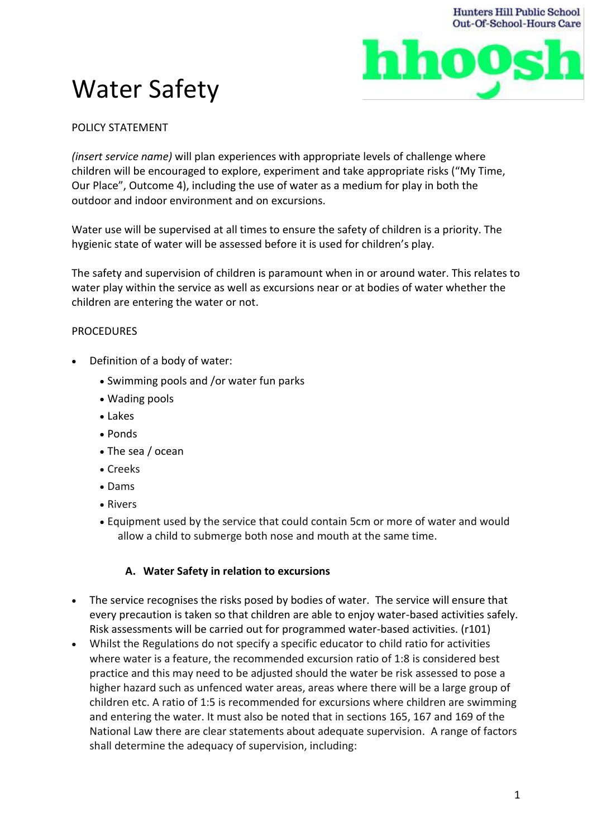

# Water Safety

# POLICY STATEMENT

*(insert service name)* will plan experiences with appropriate levels of challenge where children will be encouraged to explore, experiment and take appropriate risks ("My Time, Our Place", Outcome 4), including the use of water as a medium for play in both the outdoor and indoor environment and on excursions.

Water use will be supervised at all times to ensure the safety of children is a priority. The hygienic state of water will be assessed before it is used for children's play.

The safety and supervision of children is paramount when in or around water. This relates to water play within the service as well as excursions near or at bodies of water whether the children are entering the water or not.

# PROCEDURES

- Definition of a body of water:
	- Swimming pools and /or water fun parks
	- Wading pools
	- Lakes
	- Ponds
	- The sea / ocean
	- Creeks
	- Dams
	- Rivers
	- Equipment used by the service that could contain 5cm or more of water and would allow a child to submerge both nose and mouth at the same time.

# **A. Water Safety in relation to excursions**

- The service recognises the risks posed by bodies of water. The service will ensure that every precaution is taken so that children are able to enjoy water-based activities safely. Risk assessments will be carried out for programmed water-based activities. (r101)
- Whilst the Regulations do not specify a specific educator to child ratio for activities where water is a feature, the recommended excursion ratio of 1:8 is considered best practice and this may need to be adjusted should the water be risk assessed to pose a higher hazard such as unfenced water areas, areas where there will be a large group of children etc. A ratio of 1:5 is recommended for excursions where children are swimming and entering the water. It must also be noted that in sections 165, 167 and 169 of the National Law there are clear statements about adequate supervision. A range of factors shall determine the adequacy of supervision, including: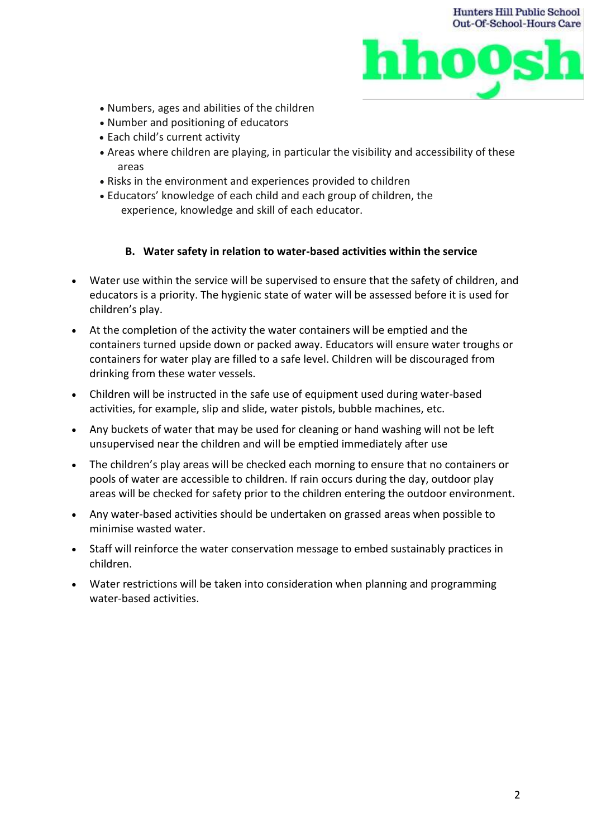



- Numbers, ages and abilities of the children
- Number and positioning of educators
- Each child's current activity
- Areas where children are playing, in particular the visibility and accessibility of these areas
- Risks in the environment and experiences provided to children
- Educators' knowledge of each child and each group of children, the experience, knowledge and skill of each educator.

### **B. Water safety in relation to water-based activities within the service**

- Water use within the service will be supervised to ensure that the safety of children, and educators is a priority. The hygienic state of water will be assessed before it is used for children's play.
- At the completion of the activity the water containers will be emptied and the containers turned upside down or packed away. Educators will ensure water troughs or containers for water play are filled to a safe level. Children will be discouraged from drinking from these water vessels.
- Children will be instructed in the safe use of equipment used during water-based activities, for example, slip and slide, water pistols, bubble machines, etc.
- Any buckets of water that may be used for cleaning or hand washing will not be left unsupervised near the children and will be emptied immediately after use
- The children's play areas will be checked each morning to ensure that no containers or pools of water are accessible to children. If rain occurs during the day, outdoor play areas will be checked for safety prior to the children entering the outdoor environment.
- Any water-based activities should be undertaken on grassed areas when possible to minimise wasted water.
- Staff will reinforce the water conservation message to embed sustainably practices in children.
- Water restrictions will be taken into consideration when planning and programming water-based activities.